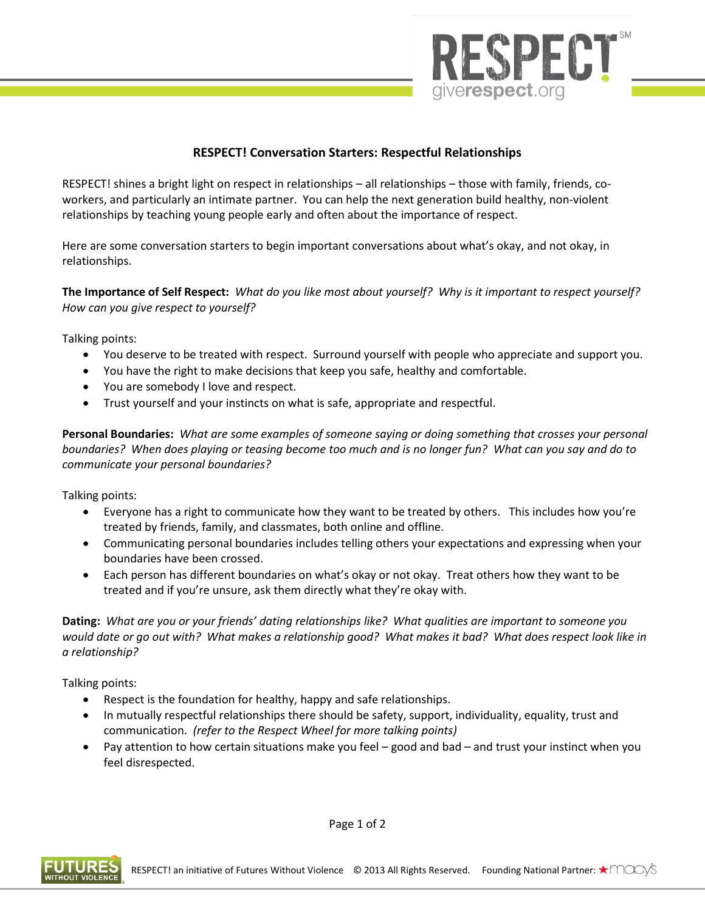

## **RESPECT! Conversation Starters: Respectful Relationships**

RESPECT! shines a bright light on respect in relationships – all relationships – those with family, friends, coworkers, and particularly an intimate partner. You can help the next generation build healthy, non-violent relationships by teaching young people early and often about the importance of respect.

Here are some conversation starters to begin important conversations about what's okay, and not okay, in relationships.

**The Importance of Self Respect:** *What do you like most about yourself? Why is it important to respect yourself? How can you give respect to yourself?*

Talking points:

- You deserve to be treated with respect. Surround yourself with people who appreciate and support you.
- You have the right to make decisions that keep you safe, healthy and comfortable.
- You are somebody I love and respect.
- Trust yourself and your instincts on what is safe, appropriate and respectful.

**Personal Boundaries:** *What are some examples of someone saying or doing something that crosses your personal boundaries? When does playing or teasing become too much and is no longer fun? What can you say and do to communicate your personal boundaries?*

Talking points:

- Everyone has a right to communicate how they want to be treated by others. This includes how you're treated by friends, family, and classmates, both online and offline.
- Communicating personal boundaries includes telling others your expectations and expressing when your boundaries have been crossed.
- Each person has different boundaries on what's okay or not okay. Treat others how they want to be treated and if you're unsure, ask them directly what they're okay with.

**Dating:** *What are you or your friends' dating relationships like? What qualities are important to someone you would date or go out with? What makes a relationship good? What makes it bad? What does respect look like in a relationship?* 

Talking points:

- Respect is the foundation for healthy, happy and safe relationships.
- In mutually respectful relationships there should be safety, support, individuality, equality, trust and communication. *(refer to the Respect Wheel for more talking points)*
- Pay attention to how certain situations make you feel good and bad and trust your instinct when you feel disrespected.